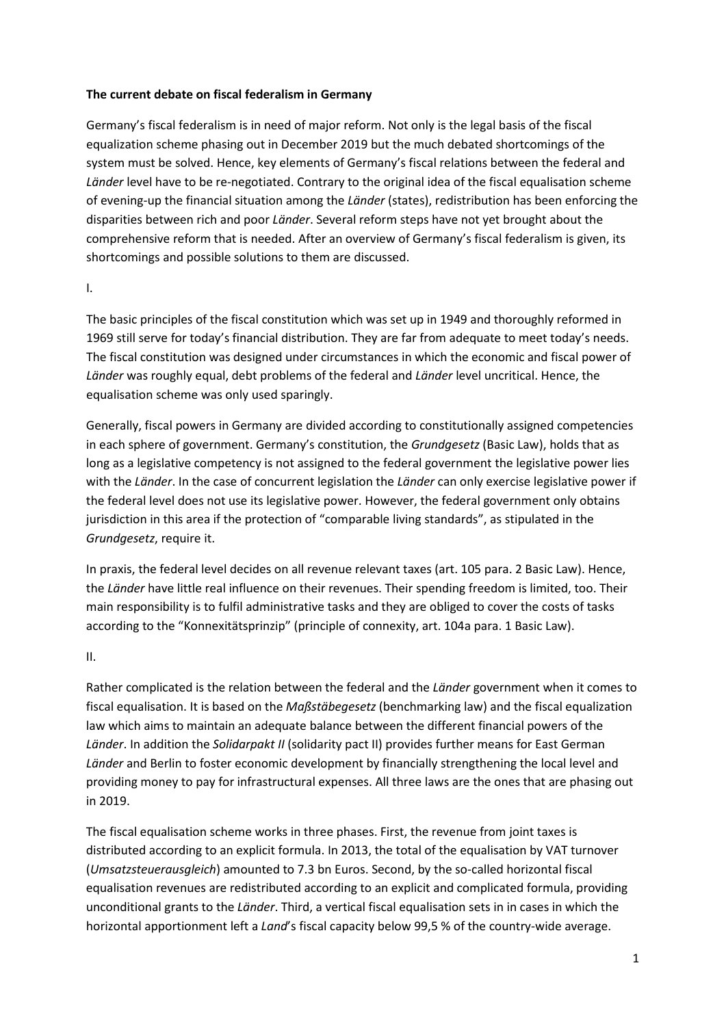# **The current debate on fiscal federalism in Germany**

Germany's fiscal federalism is in need of major reform. Not only is the legal basis of the fiscal equalization scheme phasing out in December 2019 but the much debated shortcomings of the system must be solved. Hence, key elements of Germany's fiscal relations between the federal and *Länder* level have to be re-negotiated. Contrary to the original idea of the fiscal equalisation scheme of evening-up the financial situation among the *Länder* (states), redistribution has been enforcing the disparities between rich and poor *Länder*. Several reform steps have not yet brought about the comprehensive reform that is needed. After an overview of Germany's fiscal federalism is given, its shortcomings and possible solutions to them are discussed.

### I.

The basic principles of the fiscal constitution which was set up in 1949 and thoroughly reformed in 1969 still serve for today's financial distribution. They are far from adequate to meet today's needs. The fiscal constitution was designed under circumstances in which the economic and fiscal power of *Länder* was roughly equal, debt problems of the federal and *Länder* level uncritical. Hence, the equalisation scheme was only used sparingly.

Generally, fiscal powers in Germany are divided according to constitutionally assigned competencies in each sphere of government. Germany's constitution, the *Grundgesetz* (Basic Law), holds that as long as a legislative competency is not assigned to the federal government the legislative power lies with the *Länder*. In the case of concurrent legislation the *Länder* can only exercise legislative power if the federal level does not use its legislative power. However, the federal government only obtains jurisdiction in this area if the protection of "comparable living standards", as stipulated in the *Grundgesetz*, require it.

In praxis, the federal level decides on all revenue relevant taxes (art. 105 para. 2 Basic Law). Hence, the *Länder* have little real influence on their revenues. Their spending freedom is limited, too. Their main responsibility is to fulfil administrative tasks and they are obliged to cover the costs of tasks according to the "Konnexitätsprinzip" (principle of connexity, art. 104a para. 1 Basic Law).

II.

Rather complicated is the relation between the federal and the *Länder* government when it comes to fiscal equalisation. It is based on the *Maßstäbegesetz* (benchmarking law) and the fiscal equalization law which aims to maintain an adequate balance between the different financial powers of the *Länder*. In addition the *Solidarpakt II* (solidarity pact II) provides further means for East German *Länder* and Berlin to foster economic development by financially strengthening the local level and providing money to pay for infrastructural expenses. All three laws are the ones that are phasing out in 2019.

The fiscal equalisation scheme works in three phases. First, the revenue from joint taxes is distributed according to an explicit formula. In 2013, the total of the equalisation by VAT turnover (*Umsatzsteuerausgleich*) amounted to 7.3 bn Euros. Second, by the so-called horizontal fiscal equalisation revenues are redistributed according to an explicit and complicated formula, providing unconditional grants to the *Länder*. Third, a vertical fiscal equalisation sets in in cases in which the horizontal apportionment left a *Land*'s fiscal capacity below 99,5 % of the country-wide average.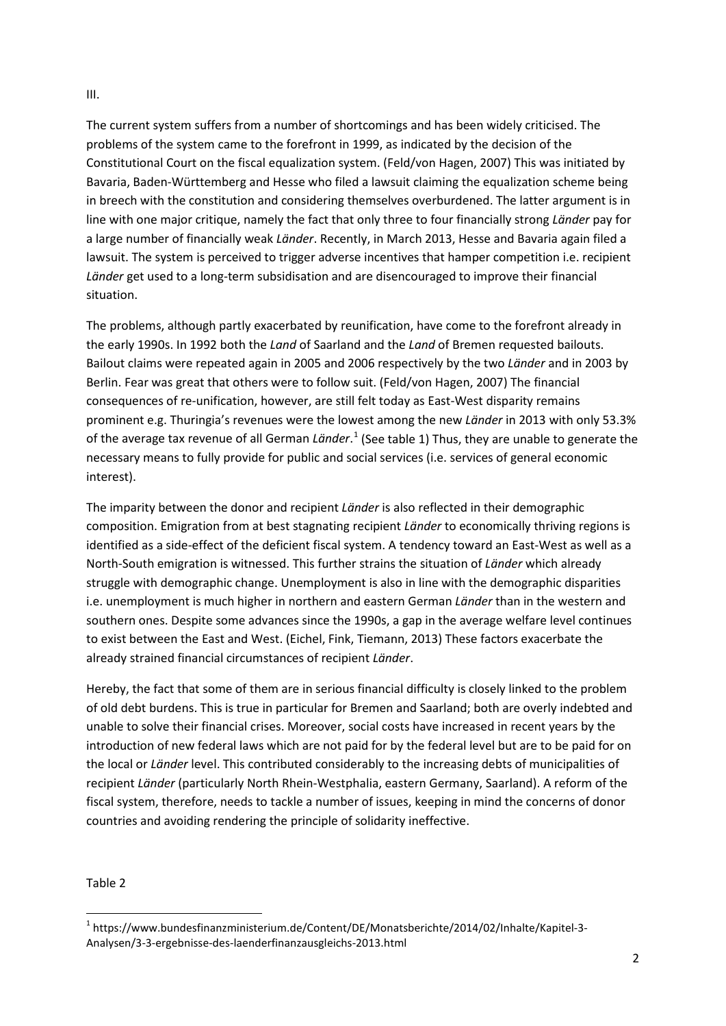# The current system suffers from a number of shortcomings and has been widely criticised. The problems of the system came to the forefront in 1999, as indicated by the decision of the Constitutional Court on the fiscal equalization system. (Feld/von Hagen, 2007) This was initiated by Bavaria, Baden-Württemberg and Hesse who filed a lawsuit claiming the equalization scheme being in breech with the constitution and considering themselves overburdened. The latter argument is in line with one major critique, namely the fact that only three to four financially strong *Länder* pay for a large number of financially weak *Länder*. Recently, in March 2013, Hesse and Bavaria again filed a lawsuit. The system is perceived to trigger adverse incentives that hamper competition i.e. recipient *Länder* get used to a long-term subsidisation and are disencouraged to improve their financial

The problems, although partly exacerbated by reunification, have come to the forefront already in the early 1990s. In 1992 both the *Land* of Saarland and the *Land* of Bremen requested bailouts. Bailout claims were repeated again in 2005 and 2006 respectively by the two *Länder* and in 2003 by Berlin. Fear was great that others were to follow suit. (Feld/von Hagen, 2007) The financial consequences of re-unification, however, are still felt today as East-West disparity remains prominent e.g. Thuringia's revenues were the lowest among the new *Länder* in 2013 with only 53.3% of the average tax revenue of all German *Länder*. [1](#page-1-0) (See table 1) Thus, they are unable to generate the necessary means to fully provide for public and social services (i.e. services of general economic interest).

The imparity between the donor and recipient *Länder* is also reflected in their demographic composition. Emigration from at best stagnating recipient *Länder* to economically thriving regions is identified as a side-effect of the deficient fiscal system. A tendency toward an East-West as well as a North-South emigration is witnessed. This further strains the situation of *Länder* which already struggle with demographic change. Unemployment is also in line with the demographic disparities i.e. unemployment is much higher in northern and eastern German *Länder* than in the western and southern ones. Despite some advances since the 1990s, a gap in the average welfare level continues to exist between the East and West. (Eichel, Fink, Tiemann, 2013) These factors exacerbate the already strained financial circumstances of recipient *Länder*.

Hereby, the fact that some of them are in serious financial difficulty is closely linked to the problem of old debt burdens. This is true in particular for Bremen and Saarland; both are overly indebted and unable to solve their financial crises. Moreover, social costs have increased in recent years by the introduction of new federal laws which are not paid for by the federal level but are to be paid for on the local or *Länder* level. This contributed considerably to the increasing debts of municipalities of recipient *Länder* (particularly North Rhein-Westphalia, eastern Germany, Saarland). A reform of the fiscal system, therefore, needs to tackle a number of issues, keeping in mind the concerns of donor countries and avoiding rendering the principle of solidarity ineffective.

Table 2

situation.

<span id="page-1-0"></span> <sup>1</sup> https://www.bundesfinanzministerium.de/Content/DE/Monatsberichte/2014/02/Inhalte/Kapitel-3- Analysen/3-3-ergebnisse-des-laenderfinanzausgleichs-2013.html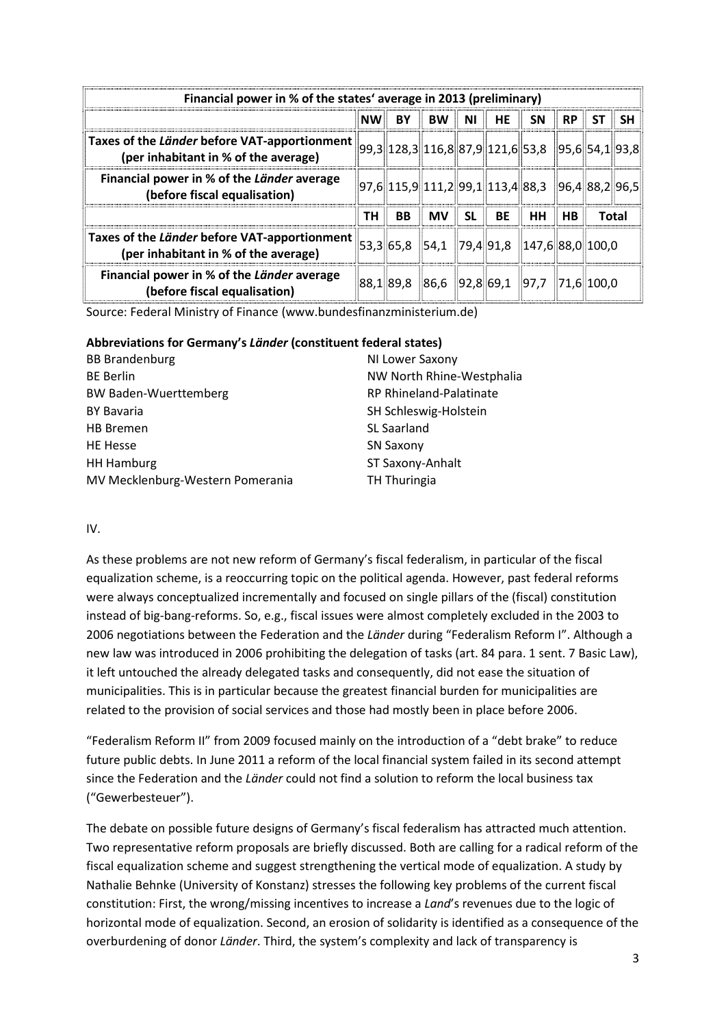| Financial power in % of the states' average in 2013 (preliminary)                                                                                     |                        |           |                                                                                                                                                                                                 |                            |           |           |           |                                                      |     |
|-------------------------------------------------------------------------------------------------------------------------------------------------------|------------------------|-----------|-------------------------------------------------------------------------------------------------------------------------------------------------------------------------------------------------|----------------------------|-----------|-----------|-----------|------------------------------------------------------|-----|
|                                                                                                                                                       | $\mathsf{N}\mathsf{W}$ | <b>BY</b> | BW                                                                                                                                                                                              | $\parallel$ NI $\parallel$ | <b>HE</b> | <b>SN</b> | <b>RP</b> | SΤ                                                   | SH. |
| Taxes of the Länder before VAT-apportionment $\ 99,3\ 128,3\ 116,8\ 87,9\ 121,6\ 53,8$ $\ 95,6\ 54,1\ 93,8\ $<br>(per inhabitant in % of the average) |                        |           |                                                                                                                                                                                                 |                            |           |           |           |                                                      |     |
| Financial power in % of the Länder average<br>(before fiscal equalisation)                                                                            |                        |           | $\frac{1}{2}$ [97,6 $\frac{1}{2}$ 115,9 $\frac{1}{2}$ 111,2 $\frac{1}{2}$ [99,1 $\frac{1}{2}$ 113,4 $\frac{1}{2}$ 88,3 $\frac{1}{2}$ [96,4 $\frac{1}{2}$ 88,2 $\frac{1}{2}$ [96,5 $\frac{1}{2}$ |                            |           |           |           |                                                      |     |
|                                                                                                                                                       | TH                     | <b>BB</b> | <b>MV</b>                                                                                                                                                                                       | -SL                        | BE        | <b>HH</b> | <b>HB</b> | Total                                                |     |
| Taxes of the Länder before VAT-apportionment<br>(per inhabitant in % of the average)                                                                  |                        |           |                                                                                                                                                                                                 |                            |           |           |           | $ 53,3  65,8  54,1  79,4  91,8  147,6  88,0  100,0 $ |     |
| Financial power in % of the Länder average<br>(before fiscal equalisation)                                                                            |                        |           |                                                                                                                                                                                                 |                            |           |           |           | $\ 88,1\ 89,8\ 86,6\ 92,8\ 69,1\ 97,7\ 71,6\ 100,0$  |     |

Source: Federal Ministry of Finance (www.bundesfinanzministerium.de)

#### **Abbreviations for Germany's** *Länder* **(constituent federal states)**

| <b>BB Brandenburg</b>            | NI Lower Saxony           |
|----------------------------------|---------------------------|
| <b>BE Berlin</b>                 | NW North Rhine-Westphalia |
| <b>BW Baden-Wuerttemberg</b>     | RP Rhineland-Palatinate   |
| <b>BY Bavaria</b>                | SH Schleswig-Holstein     |
| <b>HB</b> Bremen                 | <b>SL Saarland</b>        |
| <b>HE Hesse</b>                  | <b>SN Saxony</b>          |
| <b>HH Hamburg</b>                | ST Saxony-Anhalt          |
| MV Mecklenburg-Western Pomerania | TH Thuringia              |

# IV.

As these problems are not new reform of Germany's fiscal federalism, in particular of the fiscal equalization scheme, is a reoccurring topic on the political agenda. However, past federal reforms were always conceptualized incrementally and focused on single pillars of the (fiscal) constitution instead of big-bang-reforms. So, e.g., fiscal issues were almost completely excluded in the 2003 to 2006 negotiations between the Federation and the *Länder* during "Federalism Reform I". Although a new law was introduced in 2006 prohibiting the delegation of tasks (art. 84 para. 1 sent. 7 Basic Law), it left untouched the already delegated tasks and consequently, did not ease the situation of municipalities. This is in particular because the greatest financial burden for municipalities are related to the provision of social services and those had mostly been in place before 2006.

"Federalism Reform II" from 2009 focused mainly on the introduction of a "debt brake" to reduce future public debts. In June 2011 a reform of the local financial system failed in its second attempt since the Federation and the *Länder* could not find a solution to reform the local business tax ("Gewerbesteuer").

The debate on possible future designs of Germany's fiscal federalism has attracted much attention. Two representative reform proposals are briefly discussed. Both are calling for a radical reform of the fiscal equalization scheme and suggest strengthening the vertical mode of equalization. A study by Nathalie Behnke (University of Konstanz) stresses the following key problems of the current fiscal constitution: First, the wrong/missing incentives to increase a *Land*'s revenues due to the logic of horizontal mode of equalization. Second, an erosion of solidarity is identified as a consequence of the overburdening of donor *Länder*. Third, the system's complexity and lack of transparency is